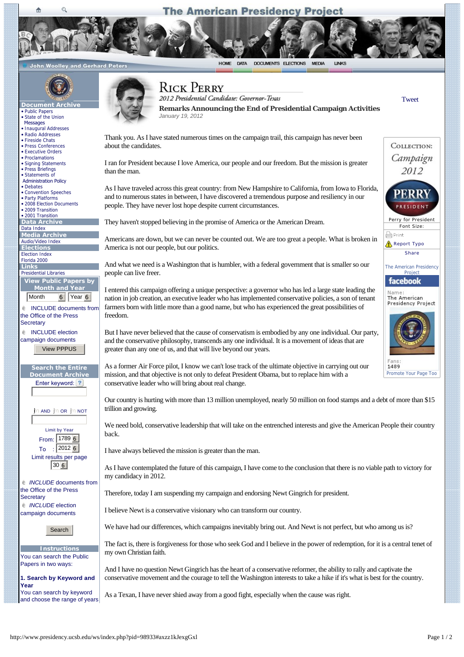## **The American Presidency Project**

HOME DATA DOCUMENTS ELECTIONS

**John Woolley and Gerhard Peters** 



Ō

**Document** • [Public Papers](http://www.presidency.ucsb.edu/ws)

- [State of the Union](http://www.presidency.ucsb.edu/sou.php)
- **Messages** • [Inaugural Addresses](http://www.presidency.ucsb.edu/inaugurals.php)
- [Radio Addresses](http://www.presidency.ucsb.edu/satradio.php)
- [Fireside Chats](http://www.presidency.ucsb.edu/fireside.php)
- [Press Conferences](http://www.presidency.ucsb.edu/news_conferences.php)
- [Executive Orders](http://www.presidency.ucsb.edu/executive_orders.php) • [Proclamations](http://www.presidency.ucsb.edu/proclamations.php)
- [Signing Statements](http://www.presidency.ucsb.edu/signingstatements.php)
- [Press Briefings](http://www.presidency.ucsb.edu/press_briefings.php)
- Statements of
- [Administration Policy](http://www.presidency.ucsb.edu/saps.php)
- [Debates](http://www.presidency.ucsb.edu/debates.php)
- [Convention Speeches](http://www.presidency.ucsb.edu/nomination.php) • [Party Platforms](http://www.presidency.ucsb.edu/platforms.php)
- [2008 Election Documents](http://www.presidency.ucsb.edu/2008_election.php)
- [2009 Transition](http://www.presidency.ucsb.edu/transition2009.php)
- [2001 Transition](http://www.presidency.ucsb.edu/transition2001.php) **Data Archive**
- [Data Index](http://www.presidency.ucsb.edu/data.php)

**Media Archive**

[Audio/Video Index](http://www.presidency.ucsb.edu/media.php)

**Elections**

[Election Index](http://www.presidency.ucsb.edu/elections.php)

[Florida 2000](http://www.presidency.ucsb.edu/florida2000.php)

[Presidential Libraries](http://www.presidency.ucsb.edu/libraries.php) **View Public Papers by Month and Year** Month 6 Year 6

|                         | ו וויוטו ונו                           |  | $O$ $ $ $C$ $ $ $O$ |  |  |  |  |
|-------------------------|----------------------------------------|--|---------------------|--|--|--|--|
|                         | <b><i>ê</i></b> INCLUDE documents from |  |                     |  |  |  |  |
| the Office of the Press |                                        |  |                     |  |  |  |  |

**Secretary**  $é$  INCLUDE election

campaign documents View PPPUS



|  |  | in AND in OR in NOT |
|--|--|---------------------|
|--|--|---------------------|

Limit by Year From: 1789 6 To : 2012 6 Limit results per page  $\overline{30}$  6

 $\epsilon$  *INCLUDE* documents from the Office of the Press **Secretary**  $é$  *INCLUDE* election campaign documents

Search

**Instructions** You can search the Public Papers in two ways:

**1. Search by Keyword and Year** You can search by keyword and choose the range of years



## **RICK PERRY**

2012 Presidential Candidate: Governor-Texas



**Remarks Announcing the End of Presidential Campaign Activities**

MEDIA

LINKS

**[Tweet](https://twitter.com/share)** 

COLLECTION: Campaign 2012

Thank you. As I have stated numerous times on the campaign trail, this campaign has never been about the candidates.

I ran for President because I love America, our people and our freedom. But the mission is greater than the man.

As I have traveled across this great country: from New Hampshire to California, from Iowa to Florida, and to numerous states in between, I have discovered a tremendous purpose and resiliency in our people. They have never lost hope despite current circumstances.

They haven't stopped believing in the promise of America or the American Dream.

Americans are down, but we can never be counted out. We are too great a people. What is broken in America is not our people, but our politics.

And what we need is a Washington that is humbler, with a federal government that is smaller so our people can live freer.

I entered this campaign offering a unique perspective: a governor who has led a large state leading the nation in job creation, an executive leader who has implemented conservative policies, a son of tenant farmers born with little more than a good name, but who has experienced the great possibilities of freedom.

But I have never believed that the cause of conservatism is embodied by any one individual. Our party, and the conservative philosophy, transcends any one individual. It is a movement of ideas that are greater than any one of us, and that will live beyond our years.

As a former Air Force pilot, I know we can't lose track of the ultimate objective in carrying out our mission, and that objective is not only to defeat President Obama, but to replace him with a conservative leader who will bring about real change.

Our country is hurting with more than 13 million unemployed, nearly 50 million on food stamps and a debt of more than \$15 trillion and growing.

We need bold, conservative leadership that will take on the entrenched interests and give the American People their country back.

I have always believed the mission is greater than the man.

As I have contemplated the future of this campaign, I have come to the conclusion that there is no viable path to victory for my candidacy in 2012.

Therefore, today I am suspending my campaign and endorsing Newt Gingrich for president.

I believe Newt is a conservative visionary who can transform our country.

We have had our differences, which campaigns inevitably bring out. And Newt is not perfect, but who among us is?

The fact is, there is forgiveness for those who seek God and I believe in the power of redemption, for it is a central tenet of my own Christian faith.

And I have no question Newt Gingrich has the heart of a conservative reformer, the ability to rally and captivate the conservative movement and the courage to tell the Washington interests to take a hike if it's what is best for the country.

As a Texan, I have never shied away from a good fight, especially when the cause was right.





The American Presidency [Project](http://www.facebook.com/pages/The-American-Presidency-Project/103922850052)

facebook Name The American Presidency Project